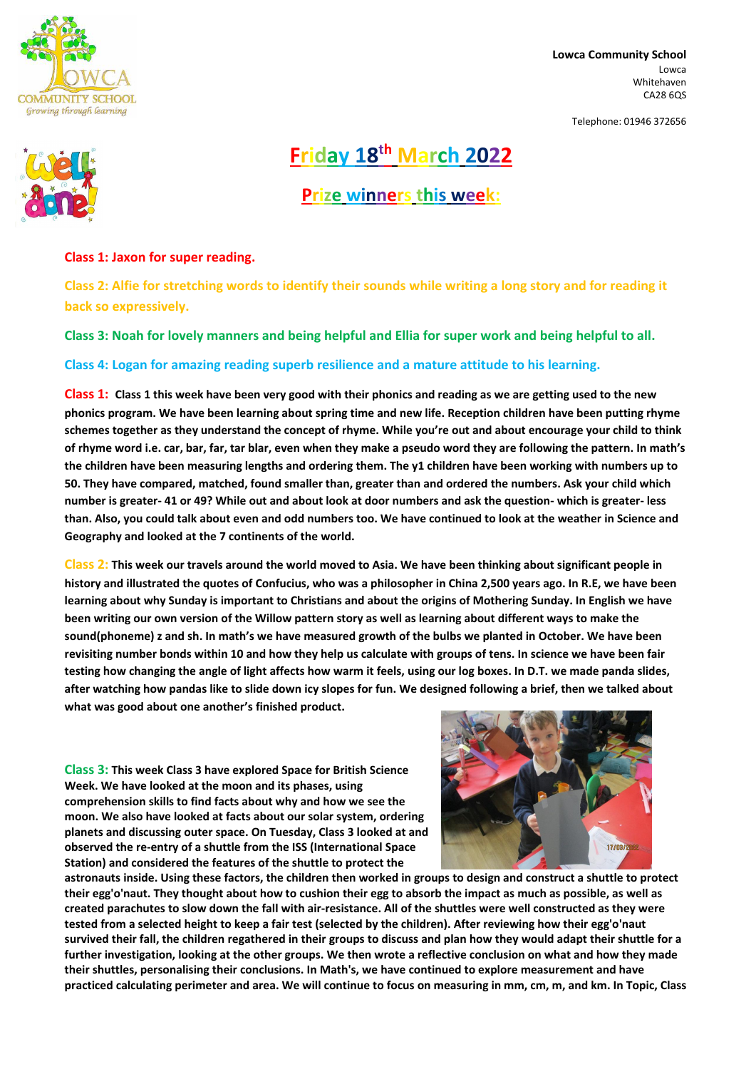

**Lowca Community School** Lowca Whitehaven CA28 6QS

Telephone: 01946 372656



**Friday 18 th March 2022**

**Prize winners this week:**

## **Class 1: Jaxon for super reading.**

**Class 2: Alfie for stretching words to identify their sounds while writing a long story and for reading it back so expressively.**

**Class 3: Noah for lovely manners and being helpful and Ellia for super work and being helpful to all.**

**Class 4: Logan for amazing reading superb resilience and a mature attitude to his learning.**

**Class 1: Class 1 this week have been very good with their phonics and reading as we are getting used to the new phonics program. We have been learning about spring time and new life. Reception children have been putting rhyme schemes together as they understand the concept of rhyme. While you're out and about encourage your child to think of rhyme word i.e. car, bar, far, tar blar, even when they make a pseudo word they are following the pattern. In math's the children have been measuring lengths and ordering them. The y1 children have been working with numbers up to 50. They have compared, matched, found smaller than, greater than and ordered the numbers. Ask your child which number is greater- 41 or 49? While out and about look at door numbers and ask the question- which is greater- less than. Also, you could talk about even and odd numbers too. We have continued to look at the weather in Science and Geography and looked at the 7 continents of the world.**

**Class 2: This week our travels around the world moved to Asia. We have been thinking about significant people in history and illustrated the quotes of Confucius, who was a philosopher in China 2,500 years ago. In R.E, we have been learning about why Sunday is important to Christians and about the origins of Mothering Sunday. In English we have been writing our own version of the Willow pattern story as well as learning about different ways to make the sound(phoneme) z and sh. In math's we have measured growth of the bulbs we planted in October. We have been revisiting number bonds within 10 and how they help us calculate with groups of tens. In science we have been fair testing how changing the angle of light affects how warm it feels, using our log boxes. In D.T. we made panda slides, after watching how pandas like to slide down icy slopes for fun. We designed following a brief, then we talked about what was good about one another's finished product.**

**Class 3: This week Class 3 have explored Space for British Science Week. We have looked at the moon and its phases, using comprehension skills to find facts about why and how we see the**



**moon. We also have looked at facts about our solar system, ordering planets and discussing outer space. On Tuesday, Class 3 looked at and observed the re-entry of a shuttle from the ISS (International Space Station) and considered the features of the shuttle to protect the**

astronauts inside. Using these factors, the children then worked in groups to design and construct a shuttle to protect their egg'o'naut. They thought about how to cushion their egg to absorb the impact as much as possible, as well as created parachutes to slow down the fall with air-resistance. All of the shuttles were well constructed as they were tested from a selected height to keep a fair test (selected by the children). After reviewing how their egg'o'naut survived their fall, the children regathered in their groups to discuss and plan how they would adapt their shuttle for a further investigation, looking at the other groups. We then wrote a reflective conclusion on what and how they made **their shuttles, personalising their conclusions. In Math's, we have continued to explore measurement and have** practiced calculating perimeter and area. We will continue to focus on measuring in mm, cm, m, and km. In Topic, Class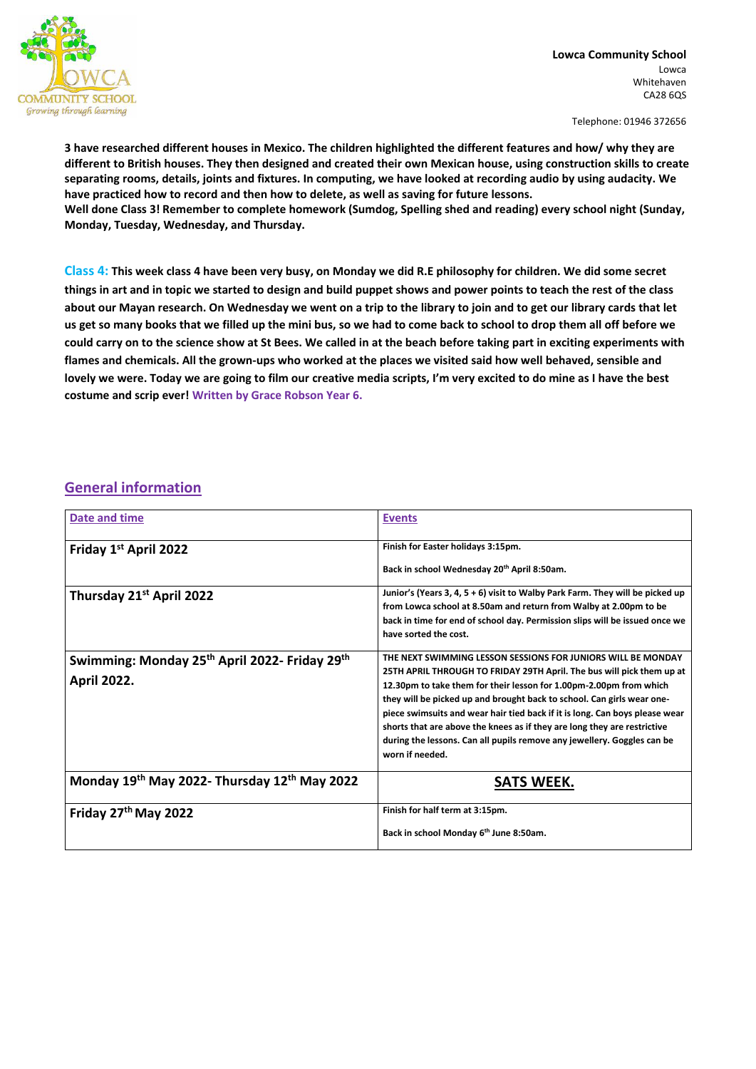

**Lowca Community School** Lowca Whitehaven CA28 6QS

Telephone: 01946 372656

3 have researched different houses in Mexico. The children highlighted the different features and how/ why they are different to British houses. They then designed and created their own Mexican house, using construction skills to create separating rooms, details, joints and fixtures. In computing, we have looked at recording audio by using audacity. We **have practiced how to record and then how to delete, as well as saving for future lessons. Well done Class 3! Remember to complete homework (Sumdog, Spelling shed and reading) every school night (Sunday, Monday, Tuesday, Wednesday, and Thursday.**

**Class 4: This week class 4 have been very busy, on Monday we did R.E philosophy for children. We did some secret things in art and in topic we started to design and build puppet shows and power points to teach the rest of the class about our Mayan research. On Wednesday we went on a trip to the library to join and to get our library cards that let us get so many books that we filled up the mini bus, so we had to come back to school to drop them all off before we could carry on to the science show at St Bees. We called in at the beach before taking part in exciting experiments with flames and chemicals. All the grown-ups who worked at the places we visited said how well behaved, sensible and lovely we were. Today we are going to film our creative media scripts, I'm very excited to do mine as I have the best costume and scrip ever! Written by Grace Robson Year 6.**

## **General information**

| Date and time                                                                               | <b>Events</b>                                                                                                                                                                                                                                                                                                                                                                                                                                                                                                                                  |
|---------------------------------------------------------------------------------------------|------------------------------------------------------------------------------------------------------------------------------------------------------------------------------------------------------------------------------------------------------------------------------------------------------------------------------------------------------------------------------------------------------------------------------------------------------------------------------------------------------------------------------------------------|
| Friday 1st April 2022                                                                       | Finish for Easter holidays 3:15pm.                                                                                                                                                                                                                                                                                                                                                                                                                                                                                                             |
| Thursday 21 <sup>st</sup> April 2022                                                        | Back in school Wednesday 20 <sup>th</sup> April 8:50am.<br>Junior's (Years 3, 4, 5 + 6) visit to Walby Park Farm. They will be picked up<br>from Lowca school at 8.50am and return from Walby at 2.00pm to be                                                                                                                                                                                                                                                                                                                                  |
|                                                                                             | back in time for end of school day. Permission slips will be issued once we<br>have sorted the cost.                                                                                                                                                                                                                                                                                                                                                                                                                                           |
| Swimming: Monday 25 <sup>th</sup> April 2022- Friday 29 <sup>th</sup><br><b>April 2022.</b> | THE NEXT SWIMMING LESSON SESSIONS FOR JUNIORS WILL BE MONDAY<br>25TH APRIL THROUGH TO FRIDAY 29TH April. The bus will pick them up at<br>12.30pm to take them for their lesson for 1.00pm-2.00pm from which<br>they will be picked up and brought back to school. Can girls wear one-<br>piece swimsuits and wear hair tied back if it is long. Can boys please wear<br>shorts that are above the knees as if they are long they are restrictive<br>during the lessons. Can all pupils remove any jewellery. Goggles can be<br>worn if needed. |
| Monday 19th May 2022- Thursday 12th May 2022                                                | <b>SATS WEEK.</b>                                                                                                                                                                                                                                                                                                                                                                                                                                                                                                                              |
| Friday 27 <sup>th</sup> May 2022                                                            | Finish for half term at 3:15pm.<br>Back in school Monday 6 <sup>th</sup> June 8:50am.                                                                                                                                                                                                                                                                                                                                                                                                                                                          |